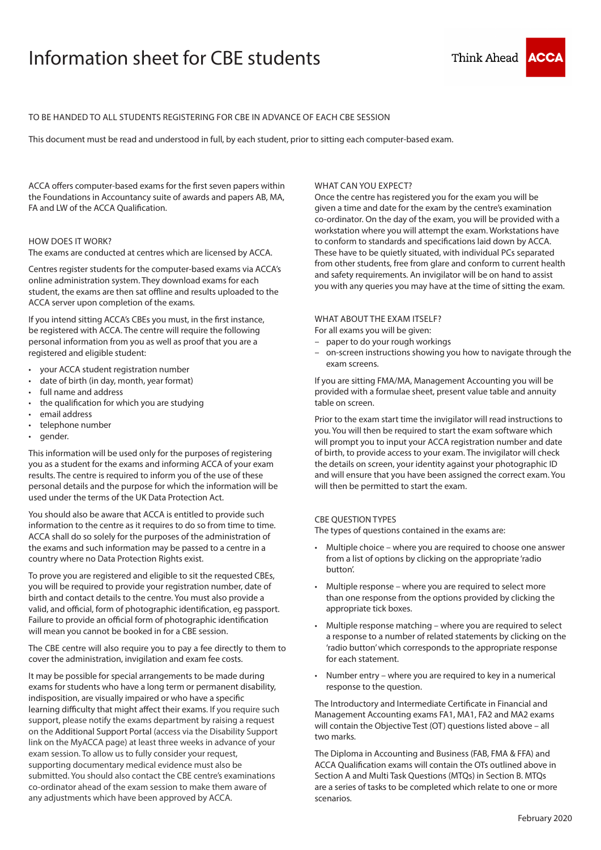# Information sheet for CBE students



## TO BE HANDED TO ALL STUDENTS REGISTERING FOR CBE IN ADVANCE OF EACH CBE SESSION

This document must be read and understood in full, by each student, prior to sitting each computer-based exam.

ACCA offers computer-based exams for the first seven papers within the Foundations in Accountancy suite of awards and papers AB, MA, FA and LW of the ACCA Qualification.

## HOW DOES IT WORK?

The exams are conducted at centres which are licensed by ACCA.

Centres register students for the computer-based exams via ACCA's online administration system. They download exams for each student, the exams are then sat offline and results uploaded to the ACCA server upon completion of the exams.

If you intend sitting ACCA's CBEs you must, in the first instance, be registered with ACCA. The centre will require the following personal information from you as well as proof that you are a registered and eligible student:

- your ACCA student registration number
- date of birth (in day, month, year format)
- full name and address
- the qualification for which you are studying
- email address
- telephone number
- gender.

This information will be used only for the purposes of registering you as a student for the exams and informing ACCA of your exam results. The centre is required to inform you of the use of these personal details and the purpose for which the information will be used under the terms of the UK Data Protection Act.

You should also be aware that ACCA is entitled to provide such information to the centre as it requires to do so from time to time. ACCA shall do so solely for the purposes of the administration of the exams and such information may be passed to a centre in a country where no Data Protection Rights exist.

To prove you are registered and eligible to sit the requested CBEs, you will be required to provide your registration number, date of birth and contact details to the centre. You must also provide a valid, and official, form of photographic identification, eg passport. Failure to provide an official form of photographic identification will mean you cannot be booked in for a CBE session.

The CBE centre will also require you to pay a fee directly to them to cover the administration, invigilation and exam fee costs.

It may be possible for special arrangements to be made during exams for students who have a long term or permanent disability, indisposition, are visually impaired or who have a specific learning difficulty that might affect their exams. If you require such support, please notify the exams department by raising a request on the Additional Support Portal (access via the Disability Support link on the MyACCA page) at least three weeks in advance of your exam session. To allow us to fully consider your request, supporting documentary medical evidence must also be submitted. You should also contact the CBE centre's examinations co-ordinator ahead of the exam session to make them aware of any adjustments which have been approved by ACCA.

## WHAT CAN YOU EXPECT?

Once the centre has registered you for the exam you will be given a time and date for the exam by the centre's examination co-ordinator. On the day of the exam, you will be provided with a workstation where you will attempt the exam. Workstations have to conform to standards and specifications laid down by ACCA. These have to be quietly situated, with individual PCs separated from other students, free from glare and conform to current health and safety requirements. An invigilator will be on hand to assist you with any queries you may have at the time of sitting the exam.

#### WHAT ABOUT THE EXAM ITSELF?

For all exams you will be given:

- paper to do your rough workings
- on-screen instructions showing you how to navigate through the exam screens.

If you are sitting FMA/MA, Management Accounting you will be provided with a formulae sheet, present value table and annuity table on screen.

Prior to the exam start time the invigilator will read instructions to you. You will then be required to start the exam software which will prompt you to input your ACCA registration number and date of birth, to provide access to your exam. The invigilator will check the details on screen, your identity against your photographic ID and will ensure that you have been assigned the correct exam. You will then be permitted to start the exam.

## CBE QUESTION TYPES

The types of questions contained in the exams are:

- Multiple choice where you are required to choose one answer from a list of options by clicking on the appropriate 'radio button'.
- Multiple response where you are required to select more than one response from the options provided by clicking the appropriate tick boxes.
- Multiple response matching where you are required to select a response to a number of related statements by clicking on the 'radio button' which corresponds to the appropriate response for each statement.
- Number entry where you are required to key in a numerical response to the question.

The Introductory and Intermediate Certificate in Financial and Management Accounting exams FA1, MA1, FA2 and MA2 exams will contain the Objective Test (OT) questions listed above – all two marks.

The Diploma in Accounting and Business (FAB, FMA & FFA) and ACCA Qualification exams will contain the OTs outlined above in Section A and Multi Task Questions (MTQs) in Section B. MTQs are a series of tasks to be completed which relate to one or more scenarios.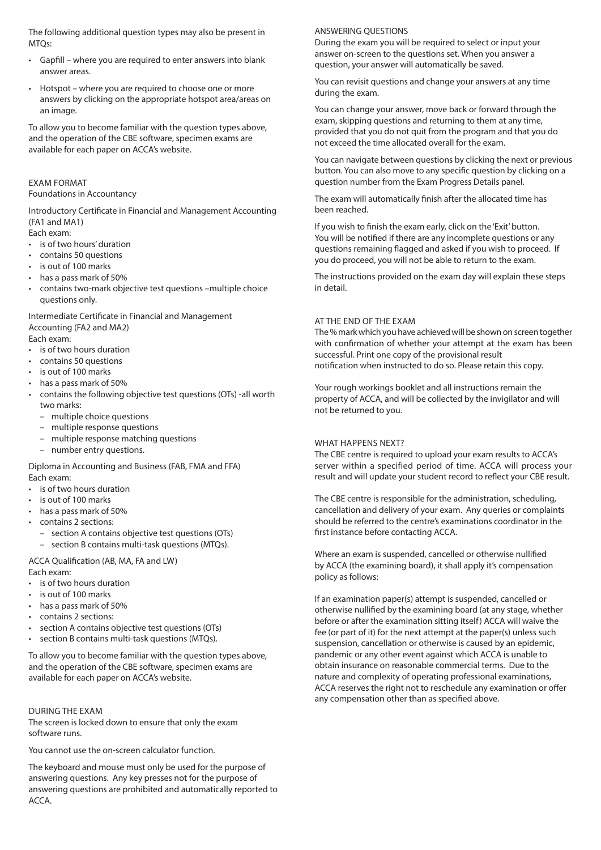The following additional question types may also be present in MTQs:

- Gapfill where you are required to enter answers into blank answer areas.
- Hotspot where you are required to choose one or more answers by clicking on the appropriate hotspot area/areas on an image.

To allow you to become familiar with the question types above, and the operation of the CBE software, specimen exams are available for each paper on ACCA's website.

## EXAM FORMAT

Foundations in Accountancy

Introductory Certificate in Financial and Management Accounting (FA1 and MA1)

Each exam:

- is of two hours' duration
- contains 50 questions
- is out of 100 marks
- has a pass mark of 50%
- contains two-mark objective test questions –multiple choice questions only.

Intermediate Certificate in Financial and Management Accounting (FA2 and MA2) Each exam:

• is of two hours duration

- contains 50 questions
- is out of 100 marks
- has a pass mark of 50%
- contains the following objective test questions (OTs) -all worth two marks:
	- multiple choice questions
	- multiple response questions
	- multiple response matching questions

– number entry questions.

Diploma in Accounting and Business (FAB, FMA and FFA) Each exam:

- is of two hours duration
- is out of 100 marks
- has a pass mark of 50%
- contains 2 sections:
	- section A contains objective test questions (OTs) section B contains multi-task questions (MTQs).
- ACCA Qualification (AB, MA, FA and LW)

Each exam:

- is of two hours duration
- is out of 100 marks
- has a pass mark of 50%
- contains 2 sections:
- section A contains objective test questions (OTs)
- section B contains multi-task questions (MTQs).

To allow you to become familiar with the question types above, and the operation of the CBE software, specimen exams are available for each paper on ACCA's website.

DURING THE EXAM The screen is locked down to ensure that only the exam software runs.

You cannot use the on-screen calculator function.

The keyboard and mouse must only be used for the purpose of answering questions. Any key presses not for the purpose of answering questions are prohibited and automatically reported to ACCA.

#### ANSWERING QUESTIONS

During the exam you will be required to select or input your answer on-screen to the questions set. When you answer a question, your answer will automatically be saved.

You can revisit questions and change your answers at any time during the exam.

You can change your answer, move back or forward through the exam, skipping questions and returning to them at any time, provided that you do not quit from the program and that you do not exceed the time allocated overall for the exam.

You can navigate between questions by clicking the next or previous button. You can also move to any specific question by clicking on a question number from the Exam Progress Details panel.

The exam will automatically finish after the allocated time has been reached.

If you wish to finish the exam early, click on the 'Exit' button. You will be notified if there are any incomplete questions or any questions remaining flagged and asked if you wish to proceed. If you do proceed, you will not be able to return to the exam.

The instructions provided on the exam day will explain these steps in detail.

## AT THE END OF THE EXAM

The % mark which you have achieved will be shown on screen together with confirmation of whether your attempt at the exam has been successful. Print one copy of the provisional result notification when instructed to do so. Please retain this copy.

Your rough workings booklet and all instructions remain the property of ACCA, and will be collected by the invigilator and will not be returned to you.

## WHAT HAPPENS NEXT?

The CBE centre is required to upload your exam results to ACCA's server within a specified period of time. ACCA will process your result and will update your student record to reflect your CBE result.

The CBE centre is responsible for the administration, scheduling, cancellation and delivery of your exam. Any queries or complaints should be referred to the centre's examinations coordinator in the first instance before contacting ACCA.

Where an exam is suspended, cancelled or otherwise nullified by ACCA (the examining board), it shall apply it's compensation policy as follows:

If an examination paper(s) attempt is suspended, cancelled or otherwise nullified by the examining board (at any stage, whether before or after the examination sitting itself) ACCA will waive the fee (or part of it) for the next attempt at the paper(s) unless such suspension, cancellation or otherwise is caused by an epidemic, pandemic or any other event against which ACCA is unable to obtain insurance on reasonable commercial terms. Due to the nature and complexity of operating professional examinations, ACCA reserves the right not to reschedule any examination or offer any compensation other than as specified above.